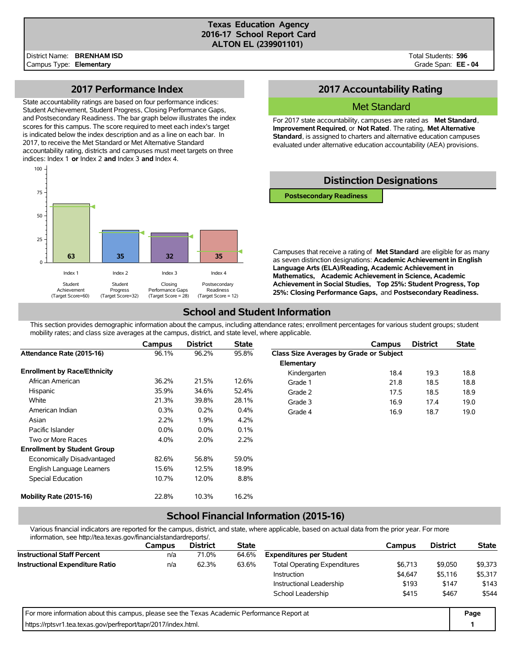#### **Texas Education Agency 2016-17 School Report Card ALTON EL (239901101)**

Total Students: **596** Grade Span: **EE - 04**

### **2017 Performance Index**

State accountability ratings are based on four performance indices: Student Achievement, Student Progress, Closing Performance Gaps, and Postsecondary Readiness. The bar graph below illustrates the index scores for this campus. The score required to meet each index's target is indicated below the index description and as a line on each bar. In 2017, to receive the Met Standard or Met Alternative Standard accountability rating, districts and campuses must meet targets on three indices: Index 1 **or** Index 2 **and** Index 3 **and** Index 4.



## **2017 Accountability Rating**

### Met Standard

For 2017 state accountability, campuses are rated as **Met Standard**, **Improvement Required**, or **Not Rated**. The rating, **Met Alternative Standard**, is assigned to charters and alternative education campuses evaluated under alternative education accountability (AEA) provisions.

### **Distinction Designations**

**Postsecondary Readiness**

Campuses that receive a rating of **Met Standard** are eligible for as many as seven distinction designations: **Academic Achievement in English Language Arts (ELA)/Reading, Academic Achievement in Mathematics, Academic Achievement in Science, Academic Achievement in Social Studies, Top 25%: Student Progress, Top 25%: Closing Performance Gaps,** and **Postsecondary Readiness.**

## **School and Student Information**

This section provides demographic information about the campus, including attendance rates; enrollment percentages for various student groups; student mobility rates; and class size averages at the campus, district, and state level, where applicable.

|                                     | Campus  | <b>District</b> | <b>State</b> |                                         | Campus | <b>District</b> | <b>State</b> |
|-------------------------------------|---------|-----------------|--------------|-----------------------------------------|--------|-----------------|--------------|
| Attendance Rate (2015-16)           | 96.1%   | 96.2%           | 95.8%        | Class Size Averages by Grade or Subject |        |                 |              |
|                                     |         |                 |              | Elementary                              |        |                 |              |
| <b>Enrollment by Race/Ethnicity</b> |         |                 |              | Kindergarten                            | 18.4   | 19.3            | 18.8         |
| African American                    | 36.2%   | 21.5%           | 12.6%        | Grade 1                                 | 21.8   | 18.5            | 18.8         |
| Hispanic                            | 35.9%   | 34.6%           | 52.4%        | Grade 2                                 | 17.5   | 18.5            | 18.9         |
| White                               | 21.3%   | 39.8%           | 28.1%        | Grade 3                                 | 16.9   | 17.4            | 19.0         |
| American Indian                     | 0.3%    | 0.2%            | 0.4%         | Grade 4                                 | 16.9   | 18.7            | 19.0         |
| Asian                               | 2.2%    | 1.9%            | 4.2%         |                                         |        |                 |              |
| Pacific Islander                    | $0.0\%$ | $0.0\%$         | 0.1%         |                                         |        |                 |              |
| Two or More Races                   | 4.0%    | 2.0%            | 2.2%         |                                         |        |                 |              |
| <b>Enrollment by Student Group</b>  |         |                 |              |                                         |        |                 |              |
| Economically Disadvantaged          | 82.6%   | 56.8%           | 59.0%        |                                         |        |                 |              |
| English Language Learners           | 15.6%   | 12.5%           | 18.9%        |                                         |        |                 |              |
| Special Education                   | 10.7%   | 12.0%           | 8.8%         |                                         |        |                 |              |
| Mobility Rate (2015-16)             | 22.8%   | 10.3%           | 16.2%        |                                         |        |                 |              |

# **School Financial Information (2015-16)**

Various financial indicators are reported for the campus, district, and state, where applicable, based on actual data from the prior year. For more information, see http://tea.texas.gov/financialstandardreports/.

| lillofilialori, see rillp.//lea.lexas.gov/ililaricialsialidardieports/.                     |        |                 |              |                                     |         |                 |              |
|---------------------------------------------------------------------------------------------|--------|-----------------|--------------|-------------------------------------|---------|-----------------|--------------|
|                                                                                             | Campus | <b>District</b> | <b>State</b> |                                     | Campus  | <b>District</b> | <b>State</b> |
| <b>Instructional Staff Percent</b>                                                          | n/a    | 71.0%           | 64.6%        | <b>Expenditures per Student</b>     |         |                 |              |
| <b>Instructional Expenditure Ratio</b>                                                      | n/a    | 62.3%           | 63.6%        | <b>Total Operating Expenditures</b> | \$6,713 | \$9,050         | \$9,373      |
|                                                                                             |        |                 |              | <b>Instruction</b>                  | \$4.647 | \$5,116         | \$5,317      |
|                                                                                             |        |                 |              | Instructional Leadership            | \$193   | \$147           | \$143        |
|                                                                                             |        |                 |              | School Leadership                   | \$415   | \$467           | \$544        |
| For more information about this campus, please see the Texas Academic Performance Report at |        |                 |              |                                     |         |                 | Page         |
| https://rptsvr1.tea.texas.gov/perfreport/tapr/2017/index.html.                              |        |                 |              |                                     |         |                 |              |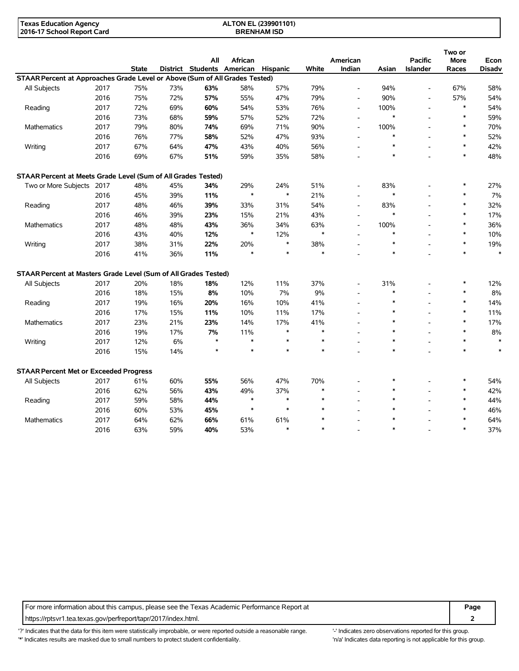| Texas Education Agency     | ALTON EL (239901101) |  |
|----------------------------|----------------------|--|
| 2016-17 School Report Card | <b>BRENHAM ISD</b>   |  |

|                                                                             |      |              |       | All                                 | African |        |        | American                 |        | <b>Pacific</b>           | Two or<br>More | Econ          |
|-----------------------------------------------------------------------------|------|--------------|-------|-------------------------------------|---------|--------|--------|--------------------------|--------|--------------------------|----------------|---------------|
|                                                                             |      | <b>State</b> |       | District Students American Hispanic |         |        | White  | Indian                   | Asian  | <b>Islander</b>          | Races          | <b>Disadv</b> |
| STAAR Percent at Approaches Grade Level or Above (Sum of All Grades Tested) |      |              |       |                                     |         |        |        |                          |        |                          |                |               |
| All Subjects                                                                | 2017 | 75%          | 73%   | 63%                                 | 58%     | 57%    | 79%    | $\overline{a}$           | 94%    | $\overline{\phantom{a}}$ | 67%            | 58%           |
|                                                                             | 2016 | 75%          | 72%   | 57%                                 | 55%     | 47%    | 79%    | $\overline{a}$           | 90%    | $\overline{a}$           | 57%            | 54%           |
| Reading                                                                     | 2017 | 72%          | 69%   | 60%                                 | 54%     | 53%    | 76%    | $\overline{\phantom{a}}$ | 100%   | $\overline{\phantom{a}}$ | $\ast$         | 54%           |
|                                                                             | 2016 | 73%          | 68%   | 59%                                 | 57%     | 52%    | 72%    | $\overline{a}$           | $\ast$ |                          | $\ast$         | 59%           |
| <b>Mathematics</b>                                                          | 2017 | 79%          | 80%   | 74%                                 | 69%     | 71%    | 90%    | $\overline{\phantom{a}}$ | 100%   |                          | $\ast$         | 70%           |
|                                                                             | 2016 | 76%          | 77%   | 58%                                 | 52%     | 47%    | 93%    | $\overline{a}$           | $\ast$ |                          | $\ast$         | 52%           |
| Writing                                                                     | 2017 | 67%          | 64%   | 47%                                 | 43%     | 40%    | 56%    |                          | $\ast$ |                          | $\ast$         | 42%           |
|                                                                             | 2016 | 69%          | 67%   | 51%                                 | 59%     | 35%    | 58%    |                          | $\ast$ |                          | $\ast$         | 48%           |
| STAAR Percent at Meets Grade Level (Sum of All Grades Tested)               |      |              |       |                                     |         |        |        |                          |        |                          |                |               |
| Two or More Subjects 2017                                                   |      | 48%          | 45%   | 34%                                 | 29%     | 24%    | 51%    | $\overline{\phantom{a}}$ | 83%    |                          | $\ast$         | 27%           |
|                                                                             | 2016 | 45%          | 39%   | 11%                                 | $\ast$  | $\ast$ | 21%    | $\overline{a}$           | $\ast$ |                          | $\ast$         | 7%            |
| Reading                                                                     | 2017 | 48%          | 46%   | 39%                                 | 33%     | 31%    | 54%    | $\overline{\phantom{a}}$ | 83%    | $\overline{a}$           | $\ast$         | 32%           |
|                                                                             | 2016 | 46%          | 39%   | 23%                                 | 15%     | 21%    | 43%    | $\overline{a}$           | $\ast$ |                          | $\ast$         | 17%           |
| Mathematics                                                                 | 2017 | 48%          | 48%   | 43%                                 | 36%     | 34%    | 63%    | $\overline{a}$           | 100%   |                          | $\ast$         | 36%           |
|                                                                             | 2016 | 43%          | 40%   | 12%                                 | $\ast$  | 12%    | $\ast$ |                          | $\ast$ |                          | $\ast$         | 10%           |
| Writing                                                                     | 2017 | 38%          | 31%   | 22%                                 | 20%     | $\ast$ | 38%    | $\overline{a}$           | $\ast$ |                          | $\ast$         | 19%           |
|                                                                             | 2016 | 41%          | 36%   | 11%                                 | $\ast$  | $\ast$ | $\ast$ |                          | $\ast$ |                          | $\ast$         | $\ast$        |
| STAAR Percent at Masters Grade Level (Sum of All Grades Tested)             |      |              |       |                                     |         |        |        |                          |        |                          |                |               |
| All Subjects                                                                | 2017 | 20%          | 18%   | 18%                                 | 12%     | 11%    | 37%    |                          | 31%    |                          | $\ast$         | 12%           |
|                                                                             | 2016 | 18%          | 15%   | 8%                                  | 10%     | 7%     | 9%     |                          | $\ast$ |                          | $\ast$         | 8%            |
| Reading                                                                     | 2017 | 19%          | 16%   | 20%                                 | 16%     | 10%    | 41%    | $\overline{a}$           | $\ast$ |                          | $\ast$         | 14%           |
|                                                                             | 2016 | 17%          | 15%   | 11%                                 | 10%     | 11%    | 17%    |                          | $\ast$ |                          | $\ast$         | 11%           |
| Mathematics                                                                 | 2017 | 23%          | 21%   | 23%                                 | 14%     | 17%    | 41%    |                          | $\ast$ |                          | $\ast$         | 17%           |
|                                                                             | 2016 | 19%          | 17%   | 7%                                  | 11%     | $\ast$ | $\ast$ |                          | $\ast$ |                          | $\ast$         | 8%            |
| Writing                                                                     | 2017 | 12%          | $6\%$ | $\star$                             | $\ast$  | $\ast$ | $\ast$ |                          | $\ast$ |                          | $\ast$         | $\ast$        |
|                                                                             | 2016 | 15%          | 14%   | $\star$                             | $\ast$  | $\ast$ | $\ast$ |                          | $\ast$ |                          | $\ast$         | $\ast$        |
| <b>STAAR Percent Met or Exceeded Progress</b>                               |      |              |       |                                     |         |        |        |                          |        |                          |                |               |
| All Subjects                                                                | 2017 | 61%          | 60%   | 55%                                 | 56%     | 47%    | 70%    |                          | *      |                          | $\ast$         | 54%           |
|                                                                             | 2016 | 62%          | 56%   | 43%                                 | 49%     | 37%    | $\ast$ |                          | $\ast$ |                          | $\ast$         | 42%           |
| Reading                                                                     | 2017 | 59%          | 58%   | 44%                                 | $\ast$  | $\ast$ | $\ast$ |                          | $\ast$ |                          | $\ast$         | 44%           |
|                                                                             | 2016 | 60%          | 53%   | 45%                                 | $\ast$  | $\ast$ | $\ast$ |                          | $\ast$ |                          | $\ast$         | 46%           |
| Mathematics                                                                 | 2017 | 64%          | 62%   | 66%                                 | 61%     | 61%    |        |                          | ×      |                          | $\ast$         | 64%           |
|                                                                             | 2016 | 63%          | 59%   | 40%                                 | 53%     | $\ast$ | $\ast$ |                          | $\ast$ |                          | $\ast$         | 37%           |

For more information about this campus, please see the Texas Academic Performance Report at **Page** Page https://rptsvr1.tea.texas.gov/perfreport/tapr/2017/index.html. **2**

'?' Indicates that the data for this item were statistically improbable, or were reported outside a reasonable range. '-' Indicates zero observations reported for this group. '\*' Indicates results are masked due to small numbers to protect student confidentiality. Moreover, the context of the strong is not applicable for this group.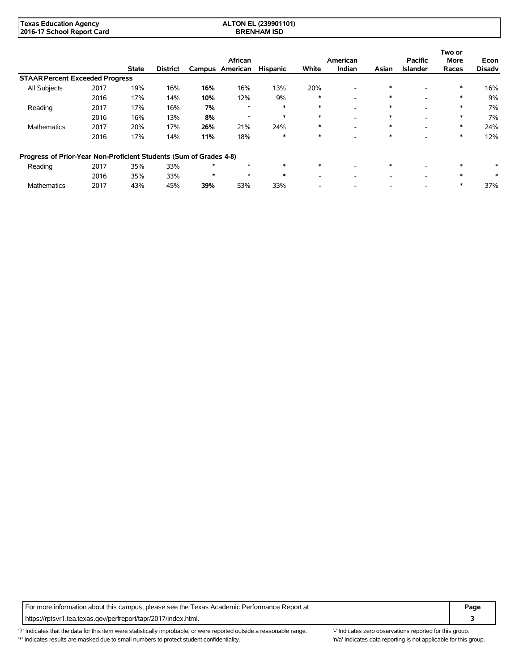| <b>Texas Education Agency</b> | ALTON EL (239901101) |
|-------------------------------|----------------------|
| 2016-17 School Report Card    | <b>BRENHAM ISD</b>   |

|                                                                    |      |              |                 |         | African         |                 |        | American                 |        | <b>Pacific</b>           | Two or<br><b>More</b> | Econ          |
|--------------------------------------------------------------------|------|--------------|-----------------|---------|-----------------|-----------------|--------|--------------------------|--------|--------------------------|-----------------------|---------------|
|                                                                    |      | <b>State</b> | <b>District</b> |         | Campus American | <b>Hispanic</b> | White  | Indian                   | Asian  | <b>Islander</b>          | Races                 | <b>Disadv</b> |
| <b>STAAR Percent Exceeded Progress</b>                             |      |              |                 |         |                 |                 |        |                          |        |                          |                       |               |
| All Subjects                                                       | 2017 | 19%          | 16%             | 16%     | 16%             | 13%             | 20%    | $\overline{\phantom{a}}$ | $\ast$ |                          | $\ast$                | 16%           |
|                                                                    | 2016 | 17%          | 14%             | 10%     | 12%             | 9%              | ∗      | $\overline{\phantom{a}}$ | $\ast$ |                          | ∗                     | 9%            |
| Reading                                                            | 2017 | 17%          | 16%             | 7%      | $\ast$          | $\ast$          | $\ast$ | $\overline{\phantom{a}}$ | $\ast$ |                          | $\ast$                | 7%            |
|                                                                    | 2016 | 16%          | 13%             | 8%      | ∗               | $\ast$          | $\ast$ | $\overline{\phantom{a}}$ | $\ast$ | $\overline{\phantom{0}}$ | $\ast$                | 7%            |
| <b>Mathematics</b>                                                 | 2017 | 20%          | 17%             | 26%     | 21%             | 24%             | ∗      | $\overline{\phantom{a}}$ | $\ast$ | $\overline{\phantom{a}}$ | $\ast$                | 24%           |
|                                                                    | 2016 | 17%          | 14%             | 11%     | 18%             | $\ast$          | $\ast$ | $\overline{\phantom{a}}$ | $\ast$ |                          | $\ast$                | 12%           |
| Progress of Prior-Year Non-Proficient Students (Sum of Grades 4-8) |      |              |                 |         |                 |                 |        |                          |        |                          |                       |               |
| Reading                                                            | 2017 | 35%          | 33%             | $\star$ | $\ast$          | $\ast$          | $\ast$ | $\overline{\phantom{a}}$ | $\ast$ |                          | $\ast$                | $*$           |
|                                                                    | 2016 | 35%          | 33%             | $\star$ | $\ast$          | $\ast$          |        |                          |        |                          | $\ast$                | $\ast$        |
| <b>Mathematics</b>                                                 | 2017 | 43%          | 45%             | 39%     | 53%             | 33%             |        |                          |        |                          |                       | 37%           |

For more information about this campus, please see the Texas Academic Performance Report at **Page Page** https://rptsvr1.tea.texas.gov/perfreport/tapr/2017/index.html. **3**

'?' Indicates that the data for this item were statistically improbable, or were reported outside a reasonable range. '-' Indicates zero observations reported for this group. \*' Indicates results are masked due to small numbers to protect student confidentiality. Moreover, the context of the strong is not applicable for this group.